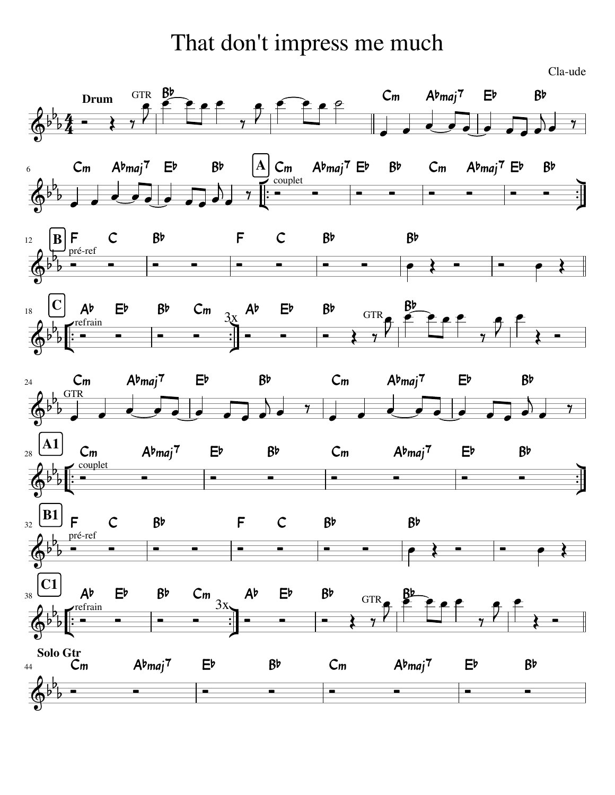## That don't impress me much



Cla-ude